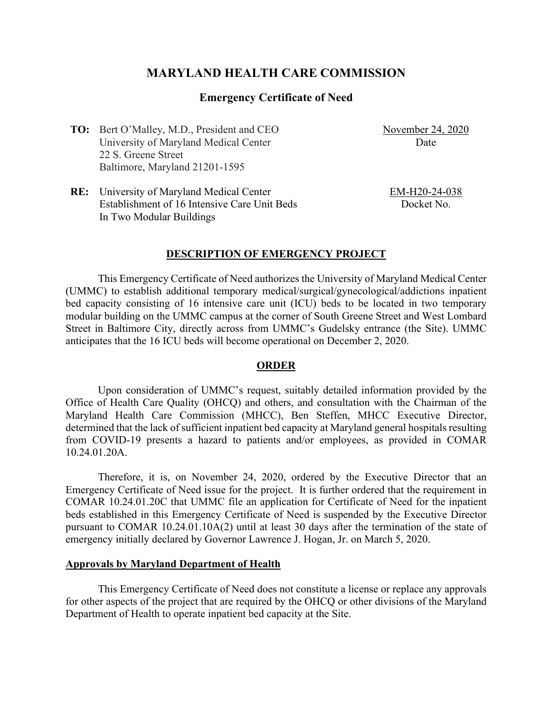# **MARYLAND HEALTH CARE COMMISSION**

### **Emergency Certificate of Need**

**TO:** Bert O'Malley, M.D., President and CEO University of Maryland Medical Center 22 S. Greene Street Baltimore, Maryland 21201-1595

November 24, 2020 **Date** 

**RE:** University of Maryland Medical Center Establishment of 16 Intensive Care Unit Beds In Two Modular Buildings

EM-H20-24-038 Docket No.

#### **DESCRIPTION OF EMERGENCY PROJECT**

This Emergency Certificate of Need authorizes the University of Maryland Medical Center (UMMC) to establish additional temporary medical/surgical/gynecological/addictions inpatient bed capacity consisting of 16 intensive care unit (ICU) beds to be located in two temporary modular building on the UMMC campus at the corner of South Greene Street and West Lombard Street in Baltimore City, directly across from UMMC's Gudelsky entrance (the Site). UMMC anticipates that the 16 ICU beds will become operational on December 2, 2020.

#### **ORDER**

Upon consideration of UMMC's request, suitably detailed information provided by the Office of Health Care Quality (OHCQ) and others, and consultation with the Chairman of the Maryland Health Care Commission (MHCC), Ben Steffen, MHCC Executive Director, determined that the lack of sufficient inpatient bed capacity at Maryland general hospitals resulting from COVID-19 presents a hazard to patients and/or employees, as provided in COMAR 10.24.01.20A.

Therefore, it is, on November 24, 2020, ordered by the Executive Director that an Emergency Certificate of Need issue for the project. It is further ordered that the requirement in COMAR 10.24.01.20C that UMMC file an application for Certificate of Need for the inpatient beds established in this Emergency Certificate of Need is suspended by the Executive Director pursuant to COMAR 10.24.01.10A(2) until at least 30 days after the termination of the state of emergency initially declared by Governor Lawrence J. Hogan, Jr. on March 5, 2020.

#### **Approvals by Maryland Department of Health**

This Emergency Certificate of Need does not constitute a license or replace any approvals for other aspects of the project that are required by the OHCQ or other divisions of the Maryland Department of Health to operate inpatient bed capacity at the Site.